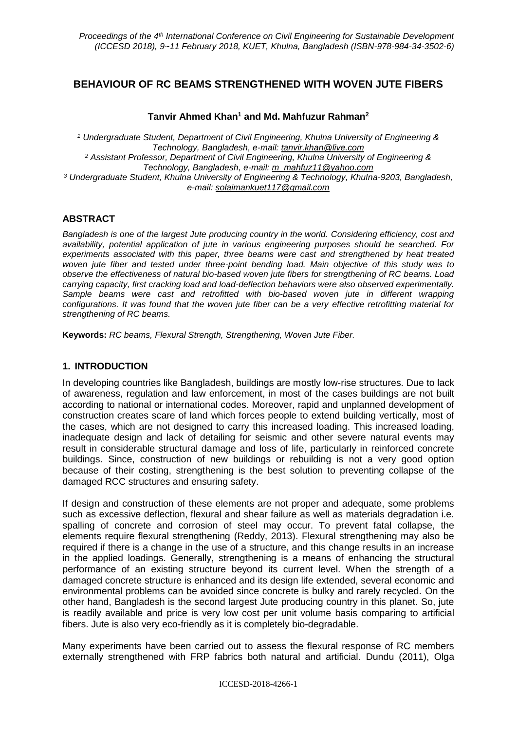# **BEHAVIOUR OF RC BEAMS STRENGTHENED WITH WOVEN JUTE FIBERS**

### **Tanvir Ahmed Khan<sup>1</sup> and Md. Mahfuzur Rahman<sup>2</sup>**

*<sup>1</sup> Undergraduate Student, Department of Civil Engineering, Khulna University of Engineering & Technology, Bangladesh, e-mail: tanvir.khan@live.com <sup>2</sup> Assistant Professor, Department of Civil Engineering, Khulna University of Engineering & Technology, Bangladesh, e-mail: [m\\_mahfuz11@yahoo.com](mailto:m_mahfuz11@yahoo.com) <sup>3</sup> Undergraduate Student, Khulna University of Engineering & Technology, Khulna-9203, Bangladesh, e-mail: solaimankuet117@gmail.com*

### **ABSTRACT**

*Bangladesh is one of the largest Jute producing country in the world. Considering efficiency, cost and availability, potential application of jute in various engineering purposes should be searched. For experiments associated with this paper, three beams were cast and strengthened by heat treated woven jute fiber and tested under three-point bending load. Main objective of this study was to observe the effectiveness of natural bio-based woven jute fibers for strengthening of RC beams. Load carrying capacity, first cracking load and load-deflection behaviors were also observed experimentally. Sample beams were cast and retrofitted with bio-based woven jute in different wrapping configurations. It was found that the woven jute fiber can be a very effective retrofitting material for strengthening of RC beams.*

**Keywords:** *RC beams, Flexural Strength, Strengthening, Woven Jute Fiber.*

### **1. INTRODUCTION**

In developing countries like Bangladesh, buildings are mostly low-rise structures. Due to lack of awareness, regulation and law enforcement, in most of the cases buildings are not built according to national or international codes. Moreover, rapid and unplanned development of construction creates scare of land which forces people to extend building vertically, most of the cases, which are not designed to carry this increased loading. This increased loading, inadequate design and lack of detailing for seismic and other severe natural events may result in considerable structural damage and loss of life, particularly in reinforced concrete buildings. Since, construction of new buildings or rebuilding is not a very good option because of their costing, strengthening is the best solution to preventing collapse of the damaged RCC structures and ensuring safety.

If design and construction of these elements are not proper and adequate, some problems such as excessive deflection, flexural and shear failure as well as materials degradation i.e. spalling of concrete and corrosion of steel may occur. To prevent fatal collapse, the elements require flexural strengthening (Reddy, 2013). Flexural strengthening may also be required if there is a change in the use of a structure, and this change results in an increase in the applied loadings. Generally, strengthening is a means of enhancing the structural performance of an existing structure beyond its current level. When the strength of a damaged concrete structure is enhanced and its design life extended, several economic and environmental problems can be avoided since concrete is bulky and rarely recycled. On the other hand, Bangladesh is the second largest Jute producing country in this planet. So, jute is readily available and price is very low cost per unit volume basis comparing to artificial fibers. Jute is also very eco-friendly as it is completely bio-degradable.

Many experiments have been carried out to assess the flexural response of RC members externally strengthened with FRP fabrics both natural and artificial. Dundu (2011), Olga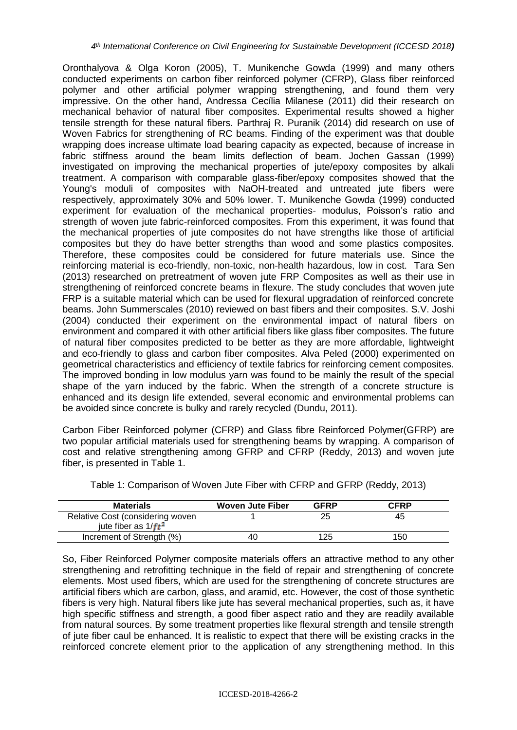Oronthalyova & Olga Koron (2005), T. Munikenche Gowda (1999) and many others conducted experiments on carbon fiber reinforced polymer (CFRP), Glass fiber reinforced polymer and other artificial polymer wrapping strengthening, and found them very impressive. On the other hand, Andressa Cecília Milanese (2011) did their research on mechanical behavior of natural fiber composites. Experimental results showed a higher tensile strength for these natural fibers. Parthraj R. Puranik (2014) did research on use of Woven Fabrics for strengthening of RC beams. Finding of the experiment was that double wrapping does increase ultimate load bearing capacity as expected, because of increase in fabric stiffness around the beam limits deflection of beam. Jochen Gassan (1999) investigated on improving the mechanical properties of jute/epoxy composites by alkali treatment. A comparison with comparable glass-fiber/epoxy composites showed that the Young's moduli of composites with NaOH-treated and untreated jute fibers were respectively, approximately 30% and 50% lower. T. Munikenche Gowda (1999) conducted experiment for evaluation of the mechanical properties- modulus, Poisson's ratio and strength of woven jute fabric-reinforced composites. From this experiment, it was found that the mechanical properties of jute composites do not have strengths like those of artificial composites but they do have better strengths than wood and some plastics composites. Therefore, these composites could be considered for future materials use. Since the reinforcing material is eco-friendly, non-toxic, non-health hazardous, low in cost. Tara Sen (2013) researched on pretreatment of woven jute FRP Composites as well as their use in strengthening of reinforced concrete beams in flexure. The study concludes that woven jute FRP is a suitable material which can be used for flexural upgradation of reinforced concrete beams. John Summerscales (2010) reviewed on bast fibers and their composites. S.V. Joshi (2004) conducted their experiment on the environmental impact of natural fibers on environment and compared it with other artificial fibers like glass fiber composites. The future of natural fiber composites predicted to be better as they are more affordable, lightweight and eco-friendly to glass and carbon fiber composites. Alva Peled (2000) experimented on geometrical characteristics and efficiency of textile fabrics for reinforcing cement composites. The improved bonding in low modulus yarn was found to be mainly the result of the special shape of the yarn induced by the fabric. When the strength of a concrete structure is enhanced and its design life extended, several economic and environmental problems can be avoided since concrete is bulky and rarely recycled (Dundu, 2011).

Carbon Fiber Reinforced polymer (CFRP) and Glass fibre Reinforced Polymer(GFRP) are two popular artificial materials used for strengthening beams by wrapping. A comparison of cost and relative strengthening among GFRP and CFRP (Reddy, 2013) and woven jute fiber, is presented in Table 1.

| <b>Materials</b>                 | Woven Jute Fiber | <b>GFRP</b> | <b>CFRP</b> |
|----------------------------------|------------------|-------------|-------------|
| Relative Cost (considering woven |                  |             |             |
| jute fiber as $1/ft^2$           |                  |             |             |
| Increment of Strength (%)        | 40               | 125         | 150         |

Table 1: Comparison of Woven Jute Fiber with CFRP and GFRP (Reddy, 2013)

So, Fiber Reinforced Polymer composite materials offers an attractive method to any other strengthening and retrofitting technique in the field of repair and strengthening of concrete elements. Most used fibers, which are used for the strengthening of concrete structures are artificial fibers which are carbon, glass, and aramid, etc. However, the cost of those synthetic fibers is very high. Natural fibers like jute has several mechanical properties, such as, it have high specific stiffness and strength, a good fiber aspect ratio and they are readily available from natural sources. By some treatment properties like flexural strength and tensile strength of jute fiber caul be enhanced. It is realistic to expect that there will be existing cracks in the reinforced concrete element prior to the application of any strengthening method. In this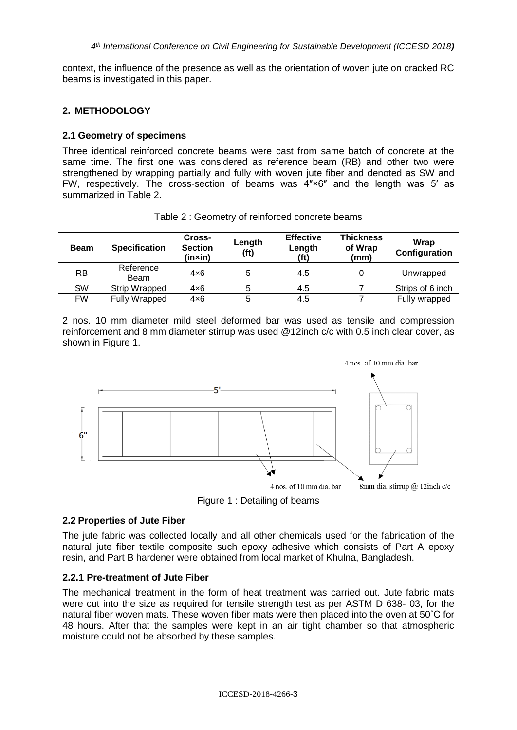*4 th International Conference on Civil Engineering for Sustainable Development (ICCESD 2018)*

context, the influence of the presence as well as the orientation of woven jute on cracked RC beams is investigated in this paper.

### **2. METHODOLOGY**

### **2.1 Geometry of specimens**

Three identical reinforced concrete beams were cast from same batch of concrete at the same time. The first one was considered as reference beam (RB) and other two were strengthened by wrapping partially and fully with woven jute fiber and denoted as SW and FW, respectively. The cross-section of beams was 4″×6″ and the length was 5′ as summarized in Table 2.

| <b>Beam</b> | <b>Specification</b> | Cross-<br><b>Section</b><br>(in×in) | Length<br>(f <sup>t</sup> ) | <b>Effective</b><br>Length<br>(ft) | <b>Thickness</b><br>of Wrap<br>(mm) | Wrap<br>Configuration |
|-------------|----------------------|-------------------------------------|-----------------------------|------------------------------------|-------------------------------------|-----------------------|
| <b>RB</b>   | Reference<br>Beam    | $4\times 6$                         |                             | 4.5                                |                                     | Unwrapped             |
| <b>SW</b>   | Strip Wrapped        | $4\times 6$                         |                             | 4.5                                |                                     | Strips of 6 inch      |
| FW          | Fully Wrapped        | $4\times 6$                         |                             | 4.5                                |                                     | Fully wrapped         |

Table 2 : Geometry of reinforced concrete beams

2 nos. 10 mm diameter mild steel deformed bar was used as tensile and compression reinforcement and 8 mm diameter stirrup was used @12inch c/c with 0.5 inch clear cover, as shown in Figure 1.



Figure 1 : Detailing of beams

### **2.2 Properties of Jute Fiber**

The jute fabric was collected locally and all other chemicals used for the fabrication of the natural jute fiber textile composite such epoxy adhesive which consists of Part A epoxy resin, and Part B hardener were obtained from local market of Khulna, Bangladesh.

### **2.2.1 Pre-treatment of Jute Fiber**

The mechanical treatment in the form of heat treatment was carried out. Jute fabric mats were cut into the size as required for tensile strength test as per ASTM D 638- 03, for the natural fiber woven mats. These woven fiber mats were then placed into the oven at 50˚C for 48 hours. After that the samples were kept in an air tight chamber so that atmospheric moisture could not be absorbed by these samples.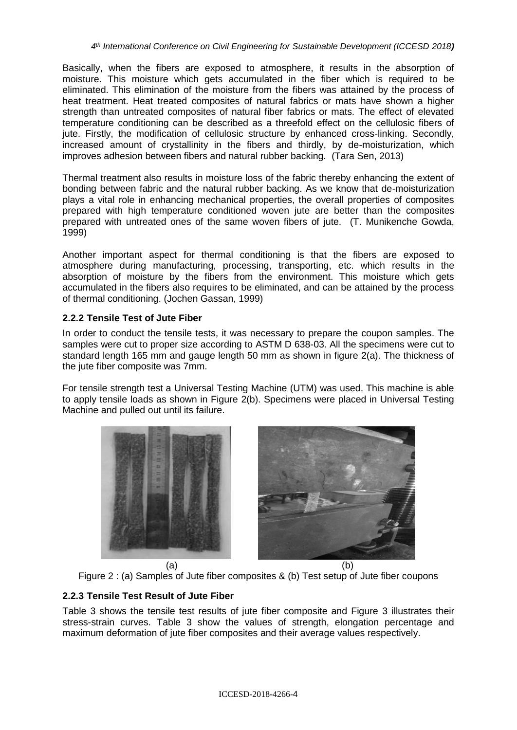Basically, when the fibers are exposed to atmosphere, it results in the absorption of moisture. This moisture which gets accumulated in the fiber which is required to be eliminated. This elimination of the moisture from the fibers was attained by the process of heat treatment. Heat treated composites of natural fabrics or mats have shown a higher strength than untreated composites of natural fiber fabrics or mats. The effect of elevated temperature conditioning can be described as a threefold effect on the cellulosic fibers of jute. Firstly, the modification of cellulosic structure by enhanced cross-linking. Secondly, increased amount of crystallinity in the fibers and thirdly, by de-moisturization, which improves adhesion between fibers and natural rubber backing. (Tara Sen, 2013)

Thermal treatment also results in moisture loss of the fabric thereby enhancing the extent of bonding between fabric and the natural rubber backing. As we know that de-moisturization plays a vital role in enhancing mechanical properties, the overall properties of composites prepared with high temperature conditioned woven jute are better than the composites prepared with untreated ones of the same woven fibers of jute. (T. Munikenche Gowda, 1999)

Another important aspect for thermal conditioning is that the fibers are exposed to atmosphere during manufacturing, processing, transporting, etc. which results in the absorption of moisture by the fibers from the environment. This moisture which gets accumulated in the fibers also requires to be eliminated, and can be attained by the process of thermal conditioning. (Jochen Gassan, 1999)

### **2.2.2 Tensile Test of Jute Fiber**

In order to conduct the tensile tests, it was necessary to prepare the coupon samples. The samples were cut to proper size according to ASTM D 638-03. All the specimens were cut to standard length 165 mm and gauge length 50 mm as shown in figure 2(a). The thickness of the jute fiber composite was 7mm.

For tensile strength test a Universal Testing Machine (UTM) was used. This machine is able to apply tensile loads as shown in Figure 2(b). Specimens were placed in Universal Testing Machine and pulled out until its failure.







# **2.2.3 Tensile Test Result of Jute Fiber**

Table 3 shows the tensile test results of jute fiber composite and Figure 3 illustrates their stress-strain curves. Table 3 show the values of strength, elongation percentage and maximum deformation of jute fiber composites and their average values respectively.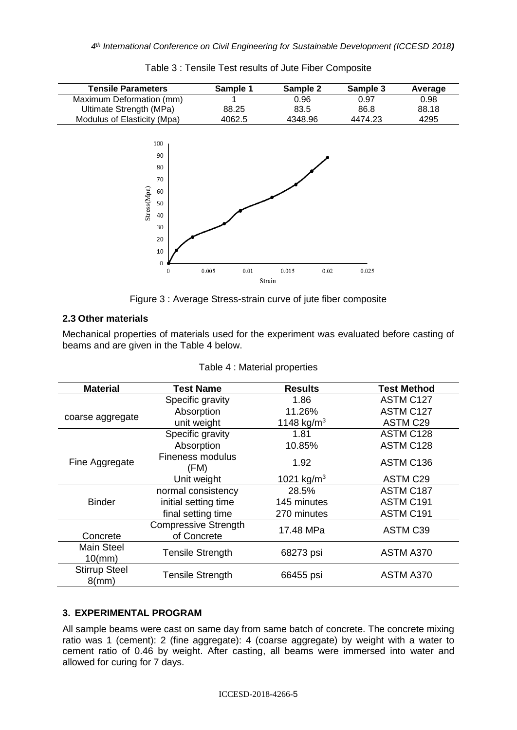

Table 3 : Tensile Test results of Jute Fiber Composite

Figure 3 : Average Stress-strain curve of jute fiber composite

#### **2.3 Other materials**

Mechanical properties of materials used for the experiment was evaluated before casting of beams and are given in the Table 4 below.

| <b>Material</b>                  | <b>Test Name</b>                           | <b>Results</b>         | <b>Test Method</b> |
|----------------------------------|--------------------------------------------|------------------------|--------------------|
|                                  | Specific gravity                           | 1.86                   | ASTM C127          |
|                                  | Absorption                                 | 11.26%                 | ASTM C127          |
| coarse aggregate                 | unit weight                                | 1148 kg/m <sup>3</sup> | <b>ASTM C29</b>    |
|                                  | Specific gravity                           | 1.81                   | ASTM C128          |
|                                  | Absorption                                 | 10.85%                 | ASTM C128          |
| Fine Aggregate                   | Fineness modulus<br>(FM)                   | 1.92                   | ASTM C136          |
|                                  | Unit weight                                | 1021 kg/m <sup>3</sup> | <b>ASTM C29</b>    |
|                                  | normal consistency                         | 28.5%                  | ASTM C187          |
| <b>Binder</b>                    | initial setting time                       | 145 minutes            | ASTM C191          |
|                                  | final setting time                         | 270 minutes            | ASTM C191          |
| Concrete                         | <b>Compressive Strength</b><br>of Concrete | 17.48 MPa              | ASTM C39           |
| <b>Main Steel</b><br>$10$ (mm)   | <b>Tensile Strength</b>                    | 68273 psi              | ASTM A370          |
| <b>Stirrup Steel</b><br>$8$ (mm) | <b>Tensile Strength</b>                    | 66455 psi              | ASTM A370          |

|  |  |  | Table 4 : Material properties |
|--|--|--|-------------------------------|
|--|--|--|-------------------------------|

### **3. EXPERIMENTAL PROGRAM**

All sample beams were cast on same day from same batch of concrete. The concrete mixing ratio was 1 (cement): 2 (fine aggregate): 4 (coarse aggregate) by weight with a water to cement ratio of 0.46 by weight. After casting, all beams were immersed into water and allowed for curing for 7 days.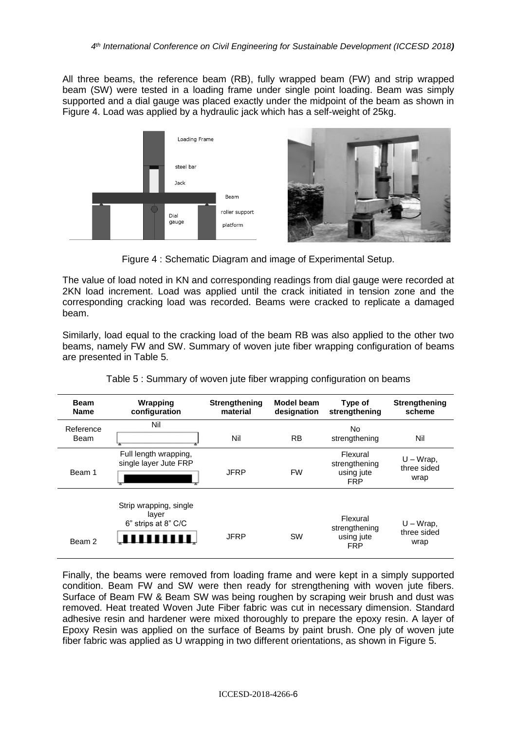All three beams, the reference beam (RB), fully wrapped beam (FW) and strip wrapped beam (SW) were tested in a loading frame under single point loading. Beam was simply supported and a dial gauge was placed exactly under the midpoint of the beam as shown in Figure 4. Load was applied by a hydraulic jack which has a self-weight of 25kg.



Figure 4 : Schematic Diagram and image of Experimental Setup.

The value of load noted in KN and corresponding readings from dial gauge were recorded at 2KN load increment. Load was applied until the crack initiated in tension zone and the corresponding cracking load was recorded. Beams were cracked to replicate a damaged beam.

Similarly, load equal to the cracking load of the beam RB was also applied to the other two beams, namely FW and SW. Summary of woven jute fiber wrapping configuration of beams are presented in Table 5.

| <b>Beam</b><br><b>Name</b> | Wrapping<br>configuration                                    | <b>Strengthening</b><br>material | <b>Model beam</b><br>designation | Type of<br>strengthening                              | <b>Strengthening</b><br>scheme      |
|----------------------------|--------------------------------------------------------------|----------------------------------|----------------------------------|-------------------------------------------------------|-------------------------------------|
| Reference<br>Beam          | Nil                                                          | Nil                              | <b>RB</b>                        | No<br>strengthening                                   | Nil                                 |
| Beam 1                     | Full length wrapping,<br>single layer Jute FRP               | <b>JFRP</b>                      | <b>FW</b>                        | Flexural<br>strengthening<br>using jute<br><b>FRP</b> | $U - W$ rap,<br>three sided<br>wrap |
| Beam 2                     | Strip wrapping, single<br>layer<br>6" strips at 8" C/C<br>ШШ | <b>JFRP</b>                      | <b>SW</b>                        | Flexural<br>strengthening<br>using jute<br><b>FRP</b> | $U - W$ rap,<br>three sided<br>wrap |

Finally, the beams were removed from loading frame and were kept in a simply supported condition. Beam FW and SW were then ready for strengthening with woven jute fibers. Surface of Beam FW & Beam SW was being roughen by scraping weir brush and dust was removed. Heat treated Woven Jute Fiber fabric was cut in necessary dimension. Standard adhesive resin and hardener were mixed thoroughly to prepare the epoxy resin. A layer of Epoxy Resin was applied on the surface of Beams by paint brush. One ply of woven jute fiber fabric was applied as U wrapping in two different orientations, as shown in Figure 5.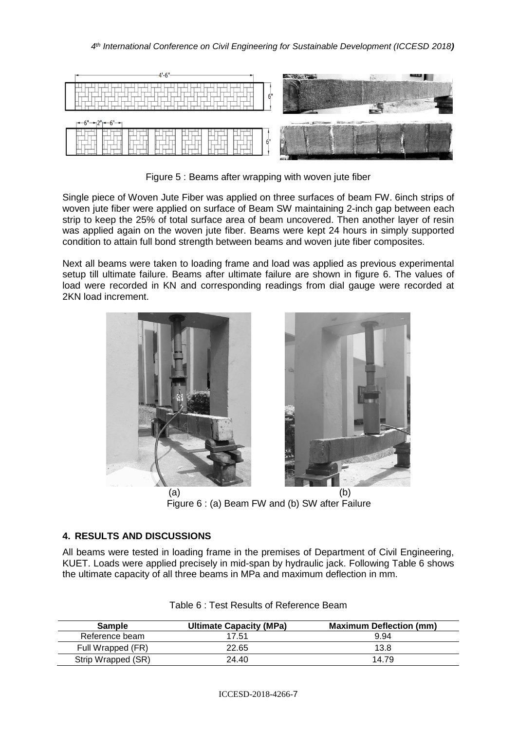

Figure 5 : Beams after wrapping with woven jute fiber

Single piece of Woven Jute Fiber was applied on three surfaces of beam FW. 6inch strips of woven jute fiber were applied on surface of Beam SW maintaining 2-inch gap between each strip to keep the 25% of total surface area of beam uncovered. Then another layer of resin was applied again on the woven jute fiber. Beams were kept 24 hours in simply supported condition to attain full bond strength between beams and woven jute fiber composites.

Next all beams were taken to loading frame and load was applied as previous experimental setup till ultimate failure. Beams after ultimate failure are shown in figure 6. The values of load were recorded in KN and corresponding readings from dial gauge were recorded at 2KN load increment.



Figure 6 : (a) Beam FW and (b) SW after Failure

# **4. RESULTS AND DISCUSSIONS**

All beams were tested in loading frame in the premises of Department of Civil Engineering, KUET. Loads were applied precisely in mid-span by hydraulic jack. Following Table 6 shows the ultimate capacity of all three beams in MPa and maximum deflection in mm.

| <b>Sample</b>      | <b>Ultimate Capacity (MPa)</b> | <b>Maximum Deflection (mm)</b> |
|--------------------|--------------------------------|--------------------------------|
| Reference beam     | 17.51                          | 9.94                           |
| Full Wrapped (FR)  | 22.65                          | 13.8                           |
| Strip Wrapped (SR) | 24.40                          | 14.79                          |

| Table 6 : Test Results of Reference Beam |
|------------------------------------------|
|------------------------------------------|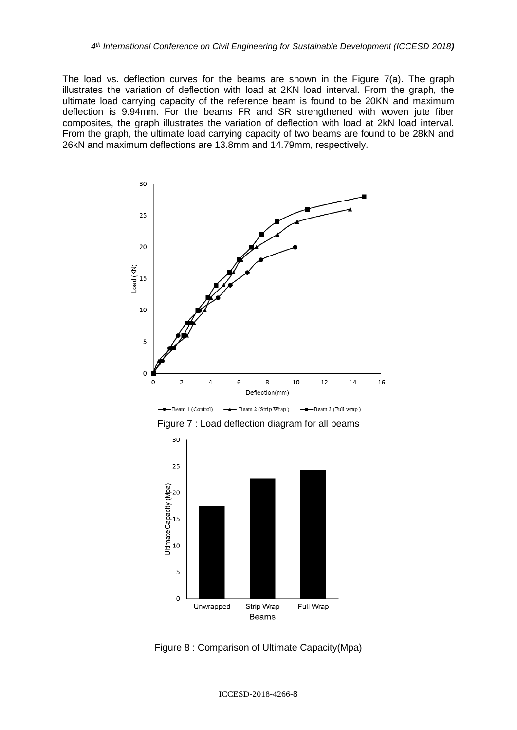The load vs. deflection curves for the beams are shown in the Figure 7(a). The graph illustrates the variation of deflection with load at 2KN load interval. From the graph, the ultimate load carrying capacity of the reference beam is found to be 20KN and maximum deflection is 9.94mm. For the beams FR and SR strengthened with woven jute fiber composites, the graph illustrates the variation of deflection with load at 2kN load interval. From the graph, the ultimate load carrying capacity of two beams are found to be 28kN and 26kN and maximum deflections are 13.8mm and 14.79mm, respectively.



 $\rightarrow$ Beam 1 (Control)  $\rightarrow$  Beam 2 (Strip Wrap) -Beam 3 (Full wrap)





Figure 8 : Comparison of Ultimate Capacity(Mpa)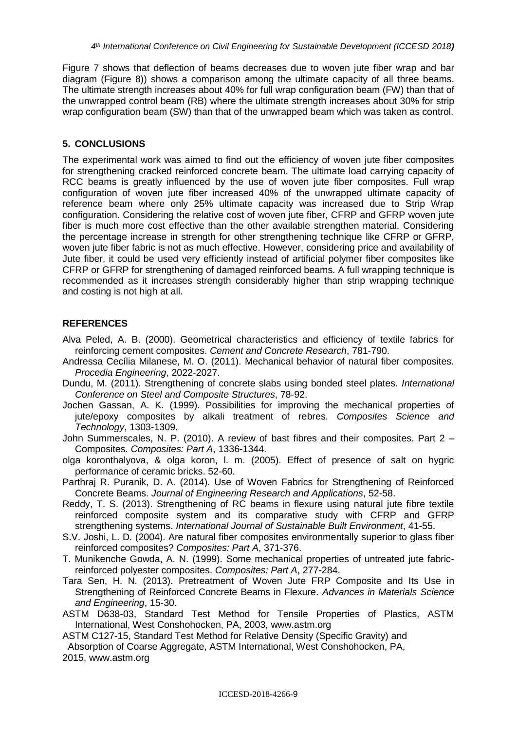Figure 7 shows that deflection of beams decreases due to woven jute fiber wrap and bar diagram (Figure 8)) shows a comparison among the ultimate capacity of all three beams. The ultimate strength increases about 40% for full wrap configuration beam (FW) than that of the unwrapped control beam (RB) where the ultimate strength increases about 30% for strip wrap configuration beam (SW) than that of the unwrapped beam which was taken as control.

## **5. CONCLUSIONS**

The experimental work was aimed to find out the efficiency of woven jute fiber composites for strengthening cracked reinforced concrete beam. The ultimate load carrying capacity of RCC beams is greatly influenced by the use of woven jute fiber composites. Full wrap configuration of woven jute fiber increased 40% of the unwrapped ultimate capacity of reference beam where only 25% ultimate capacity was increased due to Strip Wrap configuration. Considering the relative cost of woven jute fiber, CFRP and GFRP woven jute fiber is much more cost effective than the other available strengthen material. Considering the percentage increase in strength for other strengthening technique like CFRP or GFRP, woven jute fiber fabric is not as much effective. However, considering price and availability of Jute fiber, it could be used very efficiently instead of artificial polymer fiber composites like CFRP or GFRP for strengthening of damaged reinforced beams. A full wrapping technique is recommended as it increases strength considerably higher than strip wrapping technique and costing is not high at all.

# **REFERENCES**

- Alva Peled, A. B. (2000). Geometrical characteristics and efficiency of textile fabrics for reinforcing cement composites. *Cement and Concrete Research*, 781-790.
- Andressa Cecília Milanese, M. O. (2011). Mechanical behavior of natural fiber composites. *Procedia Engineering*, 2022-2027.
- Dundu, M. (2011). Strengthening of concrete slabs using bonded steel plates. *International Conference on Steel and Composite Structures*, 78-92.
- Jochen Gassan, A. K. (1999). Possibilities for improving the mechanical properties of jute/epoxy composites by alkali treatment of rebres. *Composites Science and Technology*, 1303-1309.
- John Summerscales, N. P. (2010). A review of bast fibres and their composites. Part 2 Composites. *Composites: Part A*, 1336-1344.
- olga koronthalyova, & olga koron, l. m. (2005). Effect of presence of salt on hygric performance of ceramic bricks. 52-60.
- Parthraj R. Puranik, D. A. (2014). Use of Woven Fabrics for Strengthening of Reinforced Concrete Beams. *Journal of Engineering Research and Applications*, 52-58.
- Reddy, T. S. (2013). Strengthening of RC beams in flexure using natural jute fibre textile reinforced composite system and its comparative study with CFRP and GFRP strengthening systems. *International Journal of Sustainable Built Environment*, 41-55.
- S.V. Joshi, L. D. (2004). Are natural fiber composites environmentally superior to glass fiber reinforced composites? *Composites: Part A*, 371-376.
- T. Munikenche Gowda, A. N. (1999). Some mechanical properties of untreated jute fabricreinforced polyester composites. *Composites: Part A*, 277-284.
- Tara Sen, H. N. (2013). Pretreatment of Woven Jute FRP Composite and Its Use in Strengthening of Reinforced Concrete Beams in Flexure. *Advances in Materials Science and Engineering*, 15-30.
- ASTM D638-03, Standard Test Method for Tensile Properties of Plastics, ASTM International, West Conshohocken, PA, 2003, [www.astm.org](https://www.astm.org/)

ICCESD-2018-4266-9

ASTM C127-15, Standard Test Method for Relative Density (Specific Gravity) and

 Absorption of Coarse Aggregate, ASTM International, West Conshohocken, PA, 2015, [www.astm.org](http://www.astm.org/)